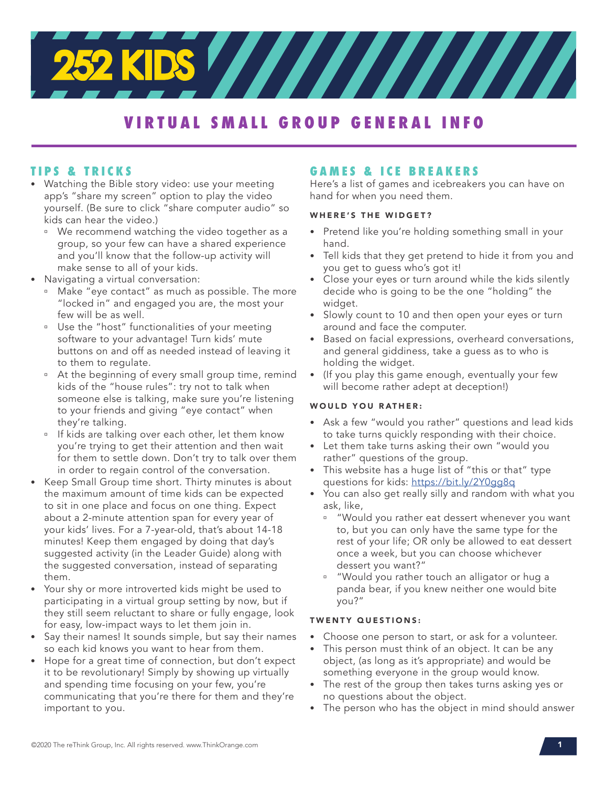

# **VIRTUAL SMALL GROUP GENERAL INFO**

# **TIPS & TRICKS**

- Watching the Bible story video: use your meeting app's "share my screen" option to play the video yourself. (Be sure to click "share computer audio" so kids can hear the video.)
	- <sup>n</sup> We recommend watching the video together as a group, so your few can have a shared experience and you'll know that the follow-up activity will make sense to all of your kids.
- Navigating a virtual conversation:
	- <sup>n</sup> Make "eye contact" as much as possible. The more "locked in" and engaged you are, the most your few will be as well.
	- <sup>n</sup> Use the "host" functionalities of your meeting software to your advantage! Turn kids' mute buttons on and off as needed instead of leaving it to them to regulate.
	- <sup>a</sup> At the beginning of every small group time, remind kids of the "house rules": try not to talk when someone else is talking, make sure you're listening to your friends and giving "eye contact" when they're talking.
	- <sup>n</sup> If kids are talking over each other, let them know you're trying to get their attention and then wait for them to settle down. Don't try to talk over them in order to regain control of the conversation.
- Keep Small Group time short. Thirty minutes is about the maximum amount of time kids can be expected to sit in one place and focus on one thing. Expect about a 2-minute attention span for every year of your kids' lives. For a 7-year-old, that's about 14-18 minutes! Keep them engaged by doing that day's suggested activity (in the Leader Guide) along with the suggested conversation, instead of separating them.
- Your shy or more introverted kids might be used to participating in a virtual group setting by now, but if they still seem reluctant to share or fully engage, look for easy, low-impact ways to let them join in.
- Say their names! It sounds simple, but say their names so each kid knows you want to hear from them.
- Hope for a great time of connection, but don't expect it to be revolutionary! Simply by showing up virtually and spending time focusing on your few, you're communicating that you're there for them and they're important to you.

# **GAMES & ICE BREAKERS**

Here's a list of games and icebreakers you can have on hand for when you need them.

#### WHERE'S THE WIDGET?

- Pretend like you're holding something small in your hand.
- Tell kids that they get pretend to hide it from you and you get to guess who's got it!
- Close your eyes or turn around while the kids silently decide who is going to be the one "holding" the widget.
- Slowly count to 10 and then open your eyes or turn around and face the computer.
- Based on facial expressions, overheard conversations, and general giddiness, take a guess as to who is holding the widget.
- (If you play this game enough, eventually your few will become rather adept at deception!)

#### WOULD YOU RATHER:

- Ask a few "would you rather" questions and lead kids to take turns quickly responding with their choice.
- Let them take turns asking their own "would you rather" questions of the group.
- This website has a huge list of "this or that" type questions for kids: https://bit.ly/2Y0gg8q
- You can also get really silly and random with what you ask, like,
	- <sup>u</sup> "Would you rather eat dessert whenever you want to, but you can only have the same type for the rest of your life; OR only be allowed to eat dessert once a week, but you can choose whichever dessert you want?"
	- "Would you rather touch an alligator or hug a panda bear, if you knew neither one would bite you?"

#### TWENTY QUESTIONS:

- Choose one person to start, or ask for a volunteer.
- This person must think of an object. It can be any object, (as long as it's appropriate) and would be something everyone in the group would know.
- The rest of the group then takes turns asking yes or no questions about the object.
- The person who has the object in mind should answer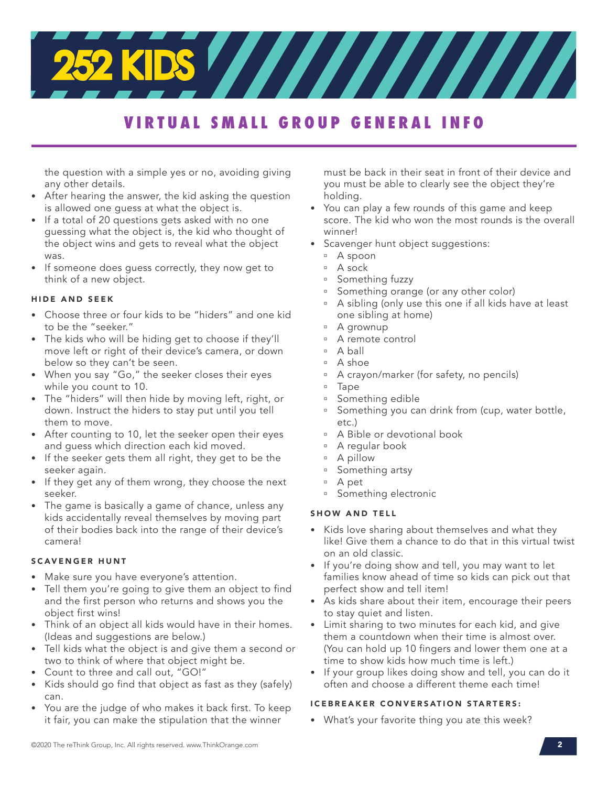# **VIRTUAL SMALL GROUP GENERAL INFO**

the question with a simple yes or no, avoiding giving any other details.

- After hearing the answer, the kid asking the question is allowed one guess at what the object is.
- If a total of 20 questions gets asked with no one guessing what the object is, the kid who thought of the object wins and gets to reveal what the object was.
- If someone does guess correctly, they now get to think of a new object.

#### HIDE AND SEEK

- Choose three or four kids to be "hiders" and one kid to be the "seeker."
- The kids who will be hiding get to choose if they'll move left or right of their device's camera, or down below so they can't be seen.
- When you say "Go," the seeker closes their eyes while you count to 10.
- The "hiders" will then hide by moving left, right, or down. Instruct the hiders to stay put until you tell them to move.
- After counting to 10, let the seeker open their eyes and guess which direction each kid moved.
- If the seeker gets them all right, they get to be the seeker again.
- If they get any of them wrong, they choose the next seeker.
- The game is basically a game of chance, unless any kids accidentally reveal themselves by moving part of their bodies back into the range of their device's camera!

#### SCAVENGER HUNT

- Make sure you have everyone's attention.
- Tell them you're going to give them an object to find and the first person who returns and shows you the object first wins!
- Think of an object all kids would have in their homes. (Ideas and suggestions are below.)
- Tell kids what the object is and give them a second or two to think of where that object might be.
- Count to three and call out, "GO!"
- Kids should go find that object as fast as they (safely) can.
- You are the judge of who makes it back first. To keep it fair, you can make the stipulation that the winner

must be back in their seat in front of their device and you must be able to clearly see the object they're holding.

- You can play a few rounds of this game and keep score. The kid who won the most rounds is the overall winner!
- Scavenger hunt object suggestions:
	- ú A spoon
	- ú A sock
	- <sup>a</sup> Something fuzzy
	- <sup>a</sup> Something orange (or any other color)
	- <sup>n</sup> A sibling (only use this one if all kids have at least one sibling at home)
	- <sup>¤</sup> A grownup
	- <sup>¤</sup> A remote control
	- ú A ball
	- $A$  shoe
	- A crayon/marker (for safety, no pencils)
	- <sup>□</sup> Tape
	- Something edible
	- Something you can drink from (cup, water bottle, etc.)
	- <sup>n</sup> A Bible or devotional book
	- <sup>n</sup> A regular book
	- ú A pillow
	- <sup>¤</sup> Something artsy
	- ú A pet
	- <sup>9</sup> Something electronic

#### SHOW AND TELL

- Kids love sharing about themselves and what they like! Give them a chance to do that in this virtual twist on an old classic.
- If you're doing show and tell, you may want to let families know ahead of time so kids can pick out that perfect show and tell item!
- As kids share about their item, encourage their peers to stay quiet and listen.
- Limit sharing to two minutes for each kid, and give them a countdown when their time is almost over. (You can hold up 10 fingers and lower them one at a time to show kids how much time is left.)
- If your group likes doing show and tell, you can do it often and choose a different theme each time!

#### ICEBREAKER CONVERSATION STARTERS:

• What's your favorite thing you ate this week?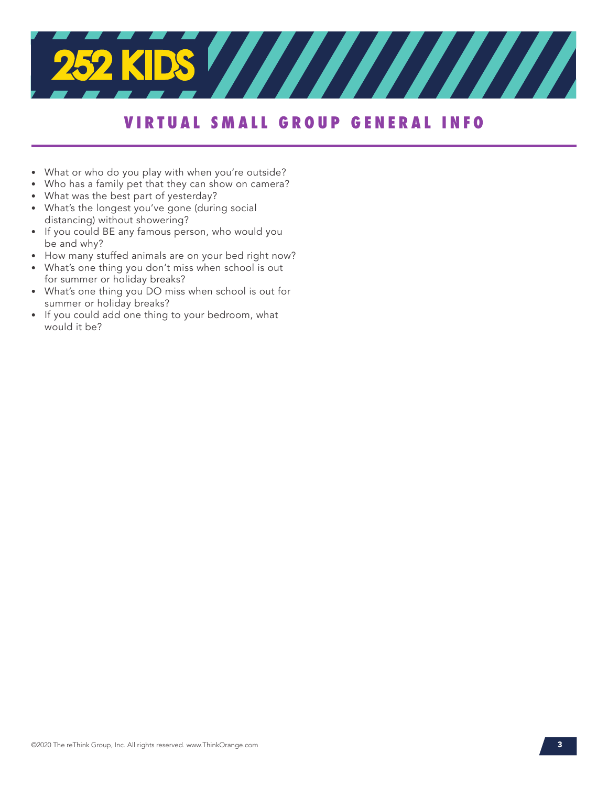

# **VIRTUAL SMALL GROUP GENERAL INFO**

- What or who do you play with when you're outside?
- Who has a family pet that they can show on camera?
- What was the best part of yesterday?
- What's the longest you've gone (during social distancing) without showering?
- If you could BE any famous person, who would you be and why?
- How many stuffed animals are on your bed right now?
- What's one thing you don't miss when school is out for summer or holiday breaks?
- What's one thing you DO miss when school is out for summer or holiday breaks?
- If you could add one thing to your bedroom, what would it be?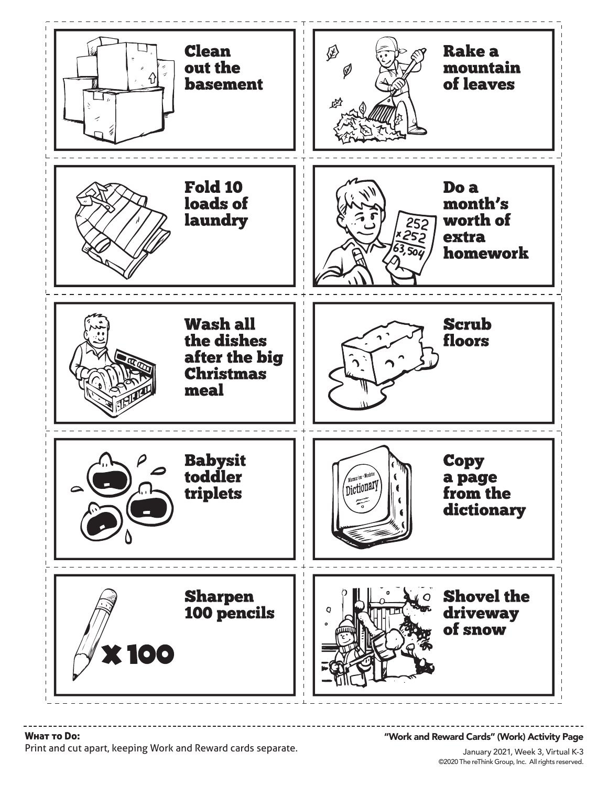

#### Wнат то Do:

Print and cut apart, keeping Work and Reward cards separate.

#### "Work and Reward Cards" (Work) Activity Page

©2020 The reThink Group, Inc. All rights reserved. January 2021, Week 3, Virtual K-3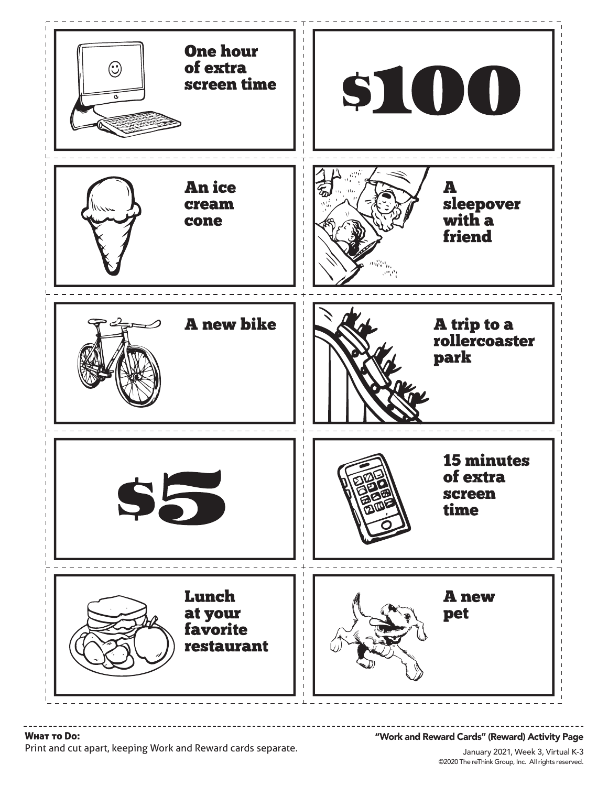

Wнат то Do:

"Work and Reward Cards" (Reward) Activity Page

Print and cut apart, keeping Work and Reward cards separate.

©2020 The reThink Group, Inc. All rights reserved. January 2021, Week 3, Virtual K-3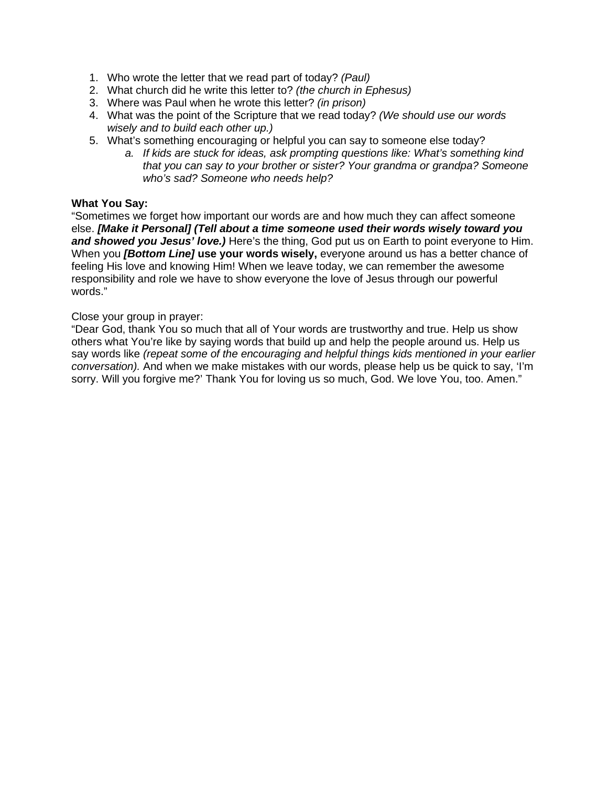- 1. Who wrote the letter that we read part of today? *(Paul)*
- 2. What church did he write this letter to? *(the church in Ephesus)*
- 3. Where was Paul when he wrote this letter? *(in prison)*
- 4. What was the point of the Scripture that we read today? *(We should use our words wisely and to build each other up.)*
- 5. What's something encouraging or helpful you can say to someone else today?
	- *a. If kids are stuck for ideas, ask prompting questions like: What's something kind that you can say to your brother or sister? Your grandma or grandpa? Someone who's sad? Someone who needs help?*

#### **What You Say:**

"Sometimes we forget how important our words are and how much they can affect someone else. *[Make it Personal] (Tell about a time someone used their words wisely toward you*  and showed you Jesus' love.) Here's the thing, God put us on Earth to point everyone to Him. When you *[Bottom Line]* **use your words wisely,** everyone around us has a better chance of feeling His love and knowing Him! When we leave today, we can remember the awesome responsibility and role we have to show everyone the love of Jesus through our powerful words."

#### Close your group in prayer:

"Dear God, thank You so much that all of Your words are trustworthy and true. Help us show others what You're like by saying words that build up and help the people around us. Help us say words like *(repeat some of the encouraging and helpful things kids mentioned in your earlier conversation).* And when we make mistakes with our words, please help us be quick to say, 'I'm sorry. Will you forgive me?' Thank You for loving us so much, God. We love You, too. Amen."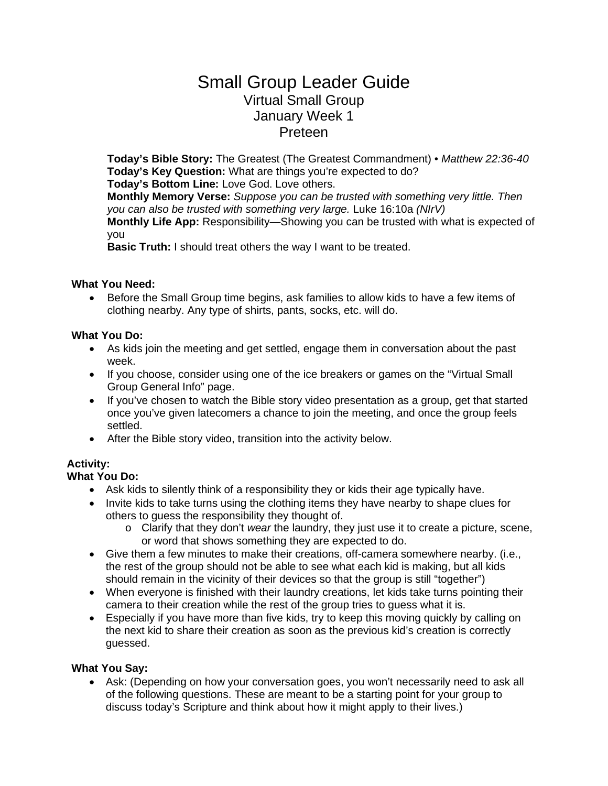# Small Group Leader Guide Virtual Small Group January Week 1 January 10 **Preteen**

**Today's Bible Story:** The Greatest (The Greatest Commandment) • *Matthew 22:36-40* **Today's Key Question:** What are things you're expected to do? **Today's Bottom Line:** Love God. Love others.

**Monthly Memory Verse:** *Suppose you can be trusted with something very little. Then you can also be trusted with something very large.* Luke 16:10a *(NIrV)* **Monthly Life App:** Responsibility—Showing you can be trusted with what is expected of you

**Basic Truth:** I should treat others the way I want to be treated.

#### **What You Need:**

• Before the Small Group time begins, ask families to allow kids to have a few items of clothing nearby. Any type of shirts, pants, socks, etc. will do.

#### **What You Do:**

- As kids join the meeting and get settled, engage them in conversation about the past week.
- If you choose, consider using one of the ice breakers or games on the "Virtual Small" Group General Info" page.
- If you've chosen to watch the Bible story video presentation as a group, get that started once you've given latecomers a chance to join the meeting, and once the group feels settled.
- After the Bible story video, transition into the activity below.

# **Activity:**

# **What You Do:**

- Ask kids to silently think of a responsibility they or kids their age typically have.
- Invite kids to take turns using the clothing items they have nearby to shape clues for others to guess the responsibility they thought of.
	- o Clarify that they don't *wear* the laundry, they just use it to create a picture, scene, or word that shows something they are expected to do.
- Give them a few minutes to make their creations, off-camera somewhere nearby. (i.e., the rest of the group should not be able to see what each kid is making, but all kids should remain in the vicinity of their devices so that the group is still "together")
- When everyone is finished with their laundry creations, let kids take turns pointing their camera to their creation while the rest of the group tries to guess what it is.
- Especially if you have more than five kids, try to keep this moving quickly by calling on the next kid to share their creation as soon as the previous kid's creation is correctly guessed.

#### **What You Say:**

• Ask: (Depending on how your conversation goes, you won't necessarily need to ask all of the following questions. These are meant to be a starting point for your group to discuss today's Scripture and think about how it might apply to their lives.)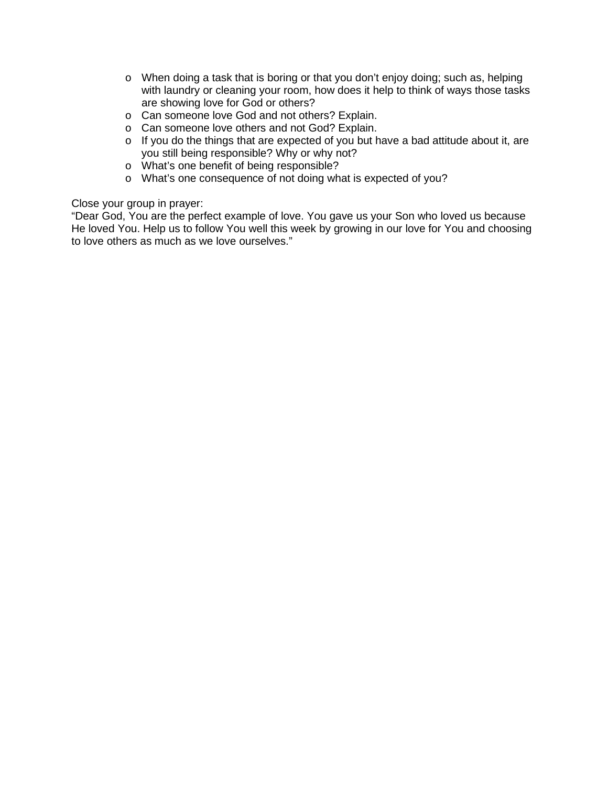- o When doing a task that is boring or that you don't enjoy doing; such as, helping with laundry or cleaning your room, how does it help to think of ways those tasks are showing love for God or others?
- o Can someone love God and not others? Explain.
- o Can someone love others and not God? Explain.
- o If you do the things that are expected of you but have a bad attitude about it, are you still being responsible? Why or why not?
- o What's one benefit of being responsible?
- o What's one consequence of not doing what is expected of you?

Close your group in prayer:

"Dear God, You are the perfect example of love. You gave us your Son who loved us because He loved You. Help us to follow You well this week by growing in our love for You and choosing to love others as much as we love ourselves."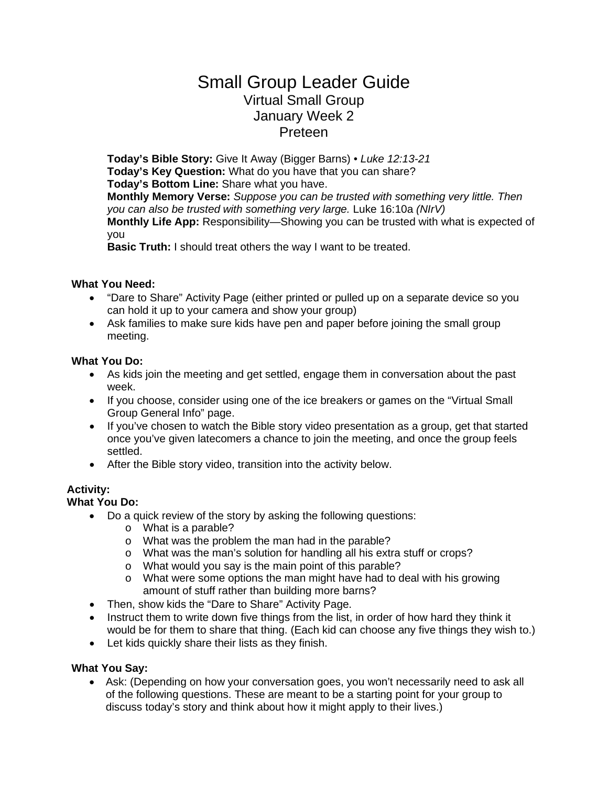# Small Group Leader Guide Virtual Small Group January Week 2 Sunday January 17 Preteen

**Today's Bible Story:** Give It Away (Bigger Barns) • *Luke 12:13-21* **Today's Key Question:** What do you have that you can share? **Today's Bottom Line:** Share what you have. **Monthly Memory Verse:** *Suppose you can be trusted with something very little. Then you can also be trusted with something very large.* Luke 16:10a *(NIrV)* **Monthly Life App:** Responsibility—Showing you can be trusted with what is expected of you

**Basic Truth:** I should treat others the way I want to be treated.

#### **What You Need:**

- "Dare to Share" Activity Page (either printed or pulled up on a separate device so you can hold it up to your camera and show your group)
- Ask families to make sure kids have pen and paper before joining the small group meeting.

#### **What You Do:**

- As kids join the meeting and get settled, engage them in conversation about the past week.
- If you choose, consider using one of the ice breakers or games on the "Virtual Small" Group General Info" page.
- If you've chosen to watch the Bible story video presentation as a group, get that started once you've given latecomers a chance to join the meeting, and once the group feels settled.
- After the Bible story video, transition into the activity below.

# **Activity:**

### **What You Do:**

- Do a quick review of the story by asking the following questions:
	- o What is a parable?
	- o What was the problem the man had in the parable?
	- o What was the man's solution for handling all his extra stuff or crops?
	- o What would you say is the main point of this parable?
	- $\circ$  What were some options the man might have had to deal with his growing amount of stuff rather than building more barns?
- Then, show kids the "Dare to Share" Activity Page.
- Instruct them to write down five things from the list, in order of how hard they think it would be for them to share that thing. (Each kid can choose any five things they wish to.)
- Let kids quickly share their lists as they finish.

# **What You Say:**

• Ask: (Depending on how your conversation goes, you won't necessarily need to ask all of the following questions. These are meant to be a starting point for your group to discuss today's story and think about how it might apply to their lives.)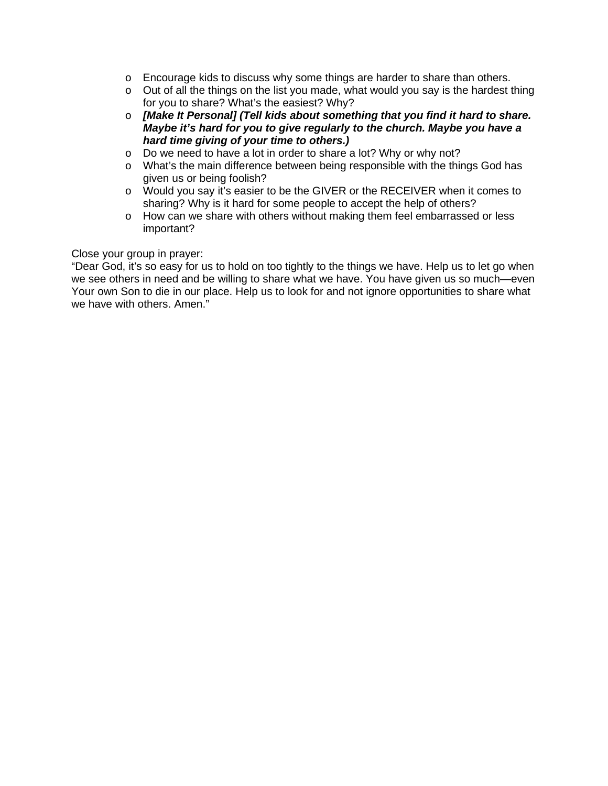- o Encourage kids to discuss why some things are harder to share than others.
- o Out of all the things on the list you made, what would you say is the hardest thing for you to share? What's the easiest? Why?
- o *[Make It Personal] (Tell kids about something that you find it hard to share. Maybe it's hard for you to give regularly to the church. Maybe you have a hard time giving of your time to others.)*
- o Do we need to have a lot in order to share a lot? Why or why not?
- o What's the main difference between being responsible with the things God has given us or being foolish?
- o Would you say it's easier to be the GIVER or the RECEIVER when it comes to sharing? Why is it hard for some people to accept the help of others?
- o How can we share with others without making them feel embarrassed or less important?

#### Close your group in prayer:

"Dear God, it's so easy for us to hold on too tightly to the things we have. Help us to let go when we see others in need and be willing to share what we have. You have given us so much—even Your own Son to die in our place. Help us to look for and not ignore opportunities to share what we have with others. Amen."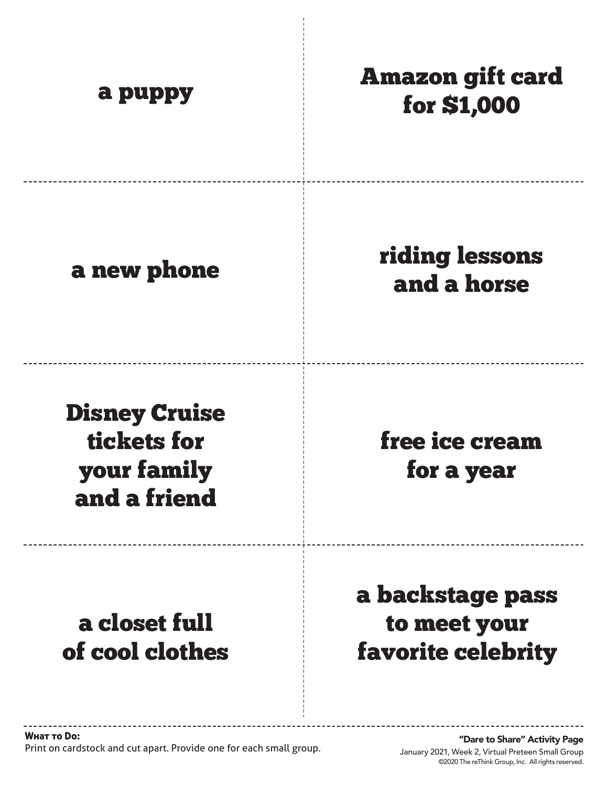| a puppy                                                            | <b>Amazon gift card</b><br>for \$1,000                        |
|--------------------------------------------------------------------|---------------------------------------------------------------|
| a new phone                                                        | <b>riding lessons</b><br>and a horse                          |
| <b>Disney Cruise</b><br>tickets for<br>your family<br>and a friend | free ice cream<br>for a year                                  |
| a closet full<br>of cool clothes                                   | a backstage pass<br>to meet your<br><b>favorite celebrity</b> |

 $\frac{1}{1}$ 

©2020 The reThink Group, Inc. All rights reserved. January 2021, Week 2, Virtual Preteen Small Group "Dare to Share" Activity Page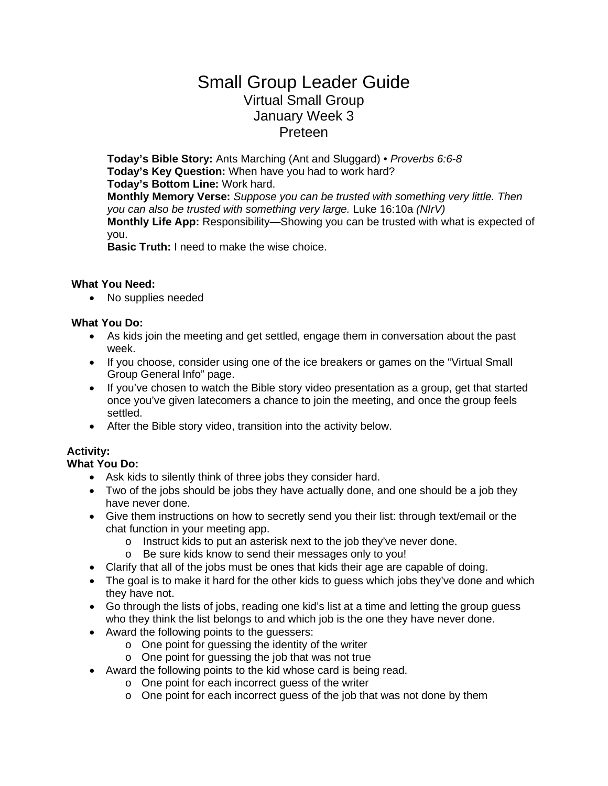# Small Group Leader Guide Virtual Small Group January Week 3 Sunday January 24 Preteen

**Today's Bible Story:** Ants Marching (Ant and Sluggard) • *Proverbs 6:6-8* **Today's Key Question:** When have you had to work hard? **Today's Bottom Line:** Work hard. **Monthly Memory Verse:** *Suppose you can be trusted with something very little. Then you can also be trusted with something very large.* Luke 16:10a *(NIrV)* **Monthly Life App:** Responsibility—Showing you can be trusted with what is expected of you.

**Basic Truth:** I need to make the wise choice.

#### **What You Need:**

• No supplies needed

#### **What You Do:**

- As kids join the meeting and get settled, engage them in conversation about the past week.
- If you choose, consider using one of the ice breakers or games on the "Virtual Small Group General Info" page.
- If you've chosen to watch the Bible story video presentation as a group, get that started once you've given latecomers a chance to join the meeting, and once the group feels settled.
- After the Bible story video, transition into the activity below.

# **Activity:**

# **What You Do:**

- Ask kids to silently think of three jobs they consider hard.
- Two of the jobs should be jobs they have actually done, and one should be a job they have never done.
- Give them instructions on how to secretly send you their list: through text/email or the chat function in your meeting app.
	- o Instruct kids to put an asterisk next to the job they've never done.
	- o Be sure kids know to send their messages only to you!
- Clarify that all of the jobs must be ones that kids their age are capable of doing.
- The goal is to make it hard for the other kids to guess which jobs they've done and which they have not.
- Go through the lists of jobs, reading one kid's list at a time and letting the group guess who they think the list belongs to and which job is the one they have never done.
- Award the following points to the guessers:
	- o One point for guessing the identity of the writer
	- o One point for guessing the job that was not true
- Award the following points to the kid whose card is being read.
	- o One point for each incorrect guess of the writer
	- o One point for each incorrect guess of the job that was not done by them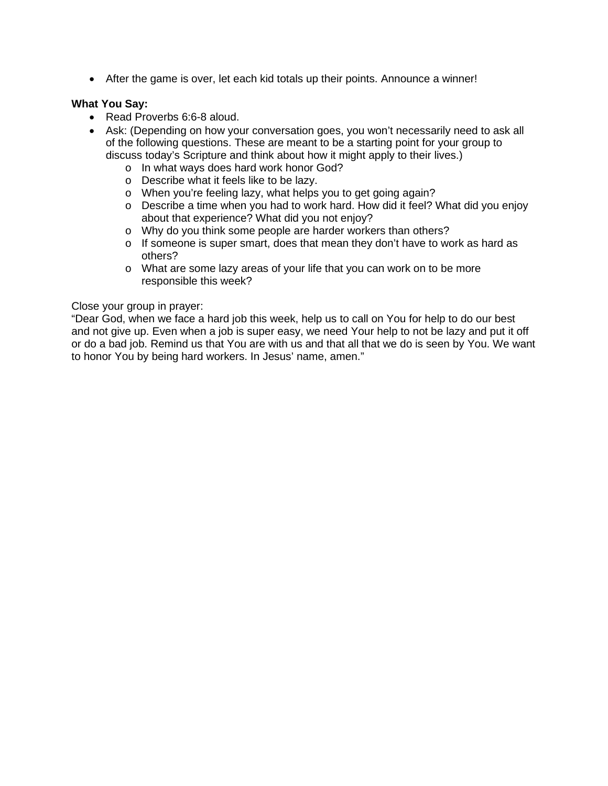• After the game is over, let each kid totals up their points. Announce a winner!

#### **What You Say:**

- Read Proverbs 6:6-8 aloud.
- Ask: (Depending on how your conversation goes, you won't necessarily need to ask all of the following questions. These are meant to be a starting point for your group to discuss today's Scripture and think about how it might apply to their lives.)
	- o In what ways does hard work honor God?
	- o Describe what it feels like to be lazy.
	- o When you're feeling lazy, what helps you to get going again?
	- o Describe a time when you had to work hard. How did it feel? What did you enjoy about that experience? What did you not enjoy?
	- o Why do you think some people are harder workers than others?
	- $\circ$  If someone is super smart, does that mean they don't have to work as hard as others?
	- o What are some lazy areas of your life that you can work on to be more responsible this week?

#### Close your group in prayer:

"Dear God, when we face a hard job this week, help us to call on You for help to do our best and not give up. Even when a job is super easy, we need Your help to not be lazy and put it off or do a bad job. Remind us that You are with us and that all that we do is seen by You. We want to honor You by being hard workers. In Jesus' name, amen."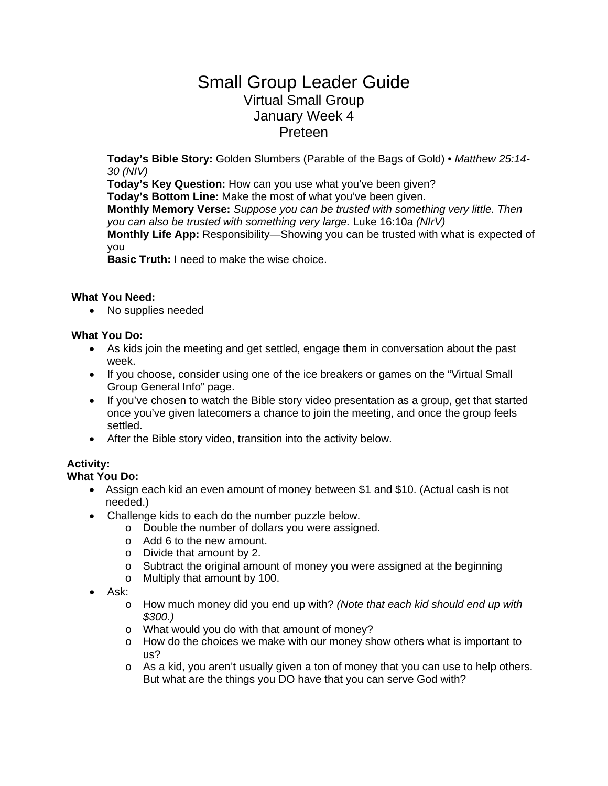# Small Group Leader Guide Virtual Small Group January Week 4 Sunday January 31 **Preteen**

**Today's Bible Story:** Golden Slumbers (Parable of the Bags of Gold) • *Matthew 25:14- 30 (NIV)*

**Today's Key Question:** How can you use what you've been given?

**Today's Bottom Line:** Make the most of what you've been given.

**Monthly Memory Verse:** *Suppose you can be trusted with something very little. Then you can also be trusted with something very large.* Luke 16:10a *(NIrV)*

**Monthly Life App:** Responsibility—Showing you can be trusted with what is expected of you

**Basic Truth:** I need to make the wise choice.

#### **What You Need:**

• No supplies needed

#### **What You Do:**

- As kids join the meeting and get settled, engage them in conversation about the past week.
- If you choose, consider using one of the ice breakers or games on the "Virtual Small" Group General Info" page.
- If you've chosen to watch the Bible story video presentation as a group, get that started once you've given latecomers a chance to join the meeting, and once the group feels settled.
- After the Bible story video, transition into the activity below.

# **Activity:**

**What You Do:** 

- Assign each kid an even amount of money between \$1 and \$10. (Actual cash is not needed.)
- Challenge kids to each do the number puzzle below.
	- o Double the number of dollars you were assigned.
	- o Add 6 to the new amount.
	- o Divide that amount by 2.
	- $\circ$  Subtract the original amount of money you were assigned at the beginning
	- o Multiply that amount by 100.
- Ask:
	- o How much money did you end up with? *(Note that each kid should end up with \$300.)*
	- o What would you do with that amount of money?
	- $\circ$  How do the choices we make with our money show others what is important to us?
	- $\circ$  As a kid, you aren't usually given a ton of money that you can use to help others. But what are the things you DO have that you can serve God with?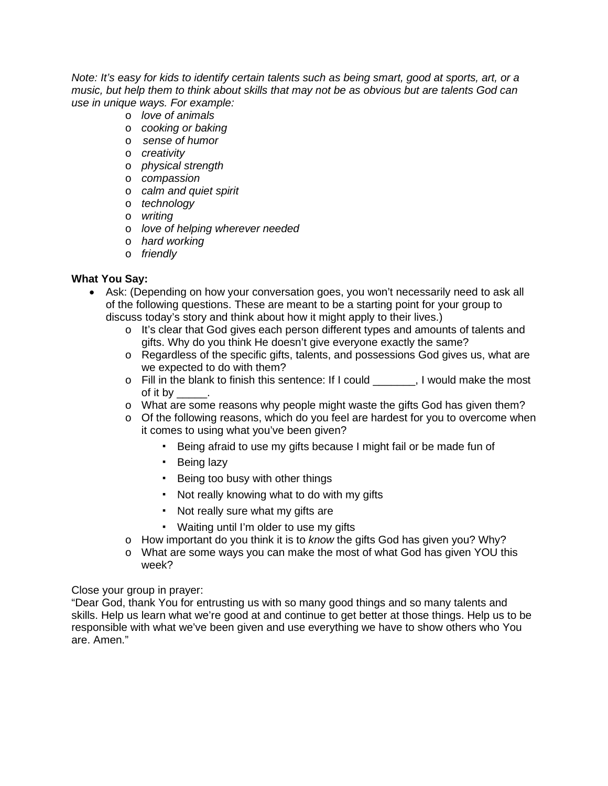*Note: It's easy for kids to identify certain talents such as being smart, good at sports, art, or a music, but help them to think about skills that may not be as obvious but are talents God can use in unique ways. For example:*

- o *love of animals*
- o *cooking or baking*
- o *sense of humor*
- o *creativity*
- o *physical strength*
- o *compassion*
- o *calm and quiet spirit*
- o *technology*
- o *writing*
- o *love of helping wherever needed*
- o *hard working*
- o *friendly*

#### **What You Say:**

- Ask: (Depending on how your conversation goes, you won't necessarily need to ask all of the following questions. These are meant to be a starting point for your group to discuss today's story and think about how it might apply to their lives.)
	- o It's clear that God gives each person different types and amounts of talents and gifts. Why do you think He doesn't give everyone exactly the same?
	- o Regardless of the specific gifts, talents, and possessions God gives us, what are we expected to do with them?
	- o Fill in the blank to finish this sentence: If I could \_\_\_\_\_\_\_, I would make the most of it by \_\_\_\_\_.
	- o What are some reasons why people might waste the gifts God has given them?
	- $\circ$  Of the following reasons, which do you feel are hardest for you to overcome when it comes to using what you've been given?
		- Being afraid to use my gifts because I might fail or be made fun of
		- Being lazy
		- Being too busy with other things
		- Not really knowing what to do with my gifts
		- Not really sure what my gifts are
		- Waiting until I'm older to use my gifts
	- o How important do you think it is to *know* the gifts God has given you? Why?
	- o What are some ways you can make the most of what God has given YOU this week?

#### Close your group in prayer:

"Dear God, thank You for entrusting us with so many good things and so many talents and skills. Help us learn what we're good at and continue to get better at those things. Help us to be responsible with what we've been given and use everything we have to show others who You are. Amen."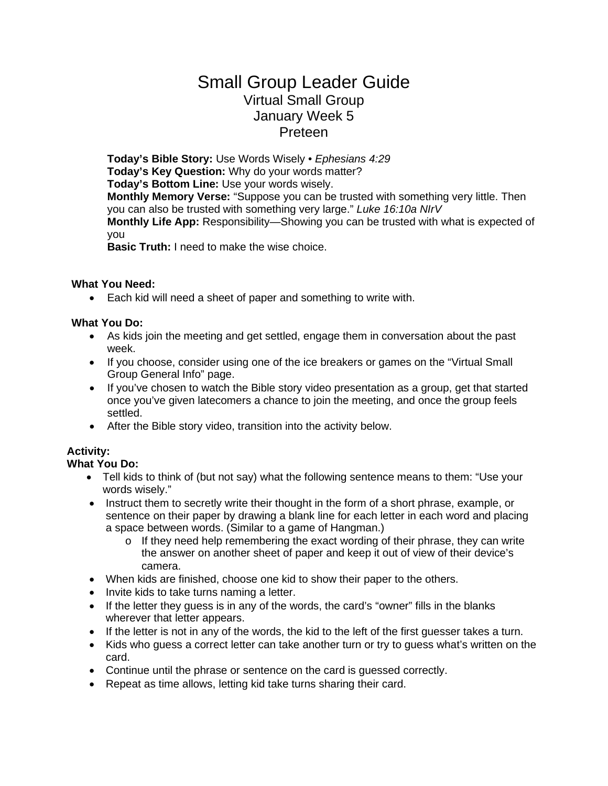# Small Group Leader Guide Virtual Small Group January Week 5 Sunday February 7 **Preteen**

**Today's Bible Story:** Use Words Wisely *• Ephesians 4:29* **Today's Key Question:** Why do your words matter? **Today's Bottom Line:** Use your words wisely. **Monthly Memory Verse:** "Suppose you can be trusted with something very little. Then you can also be trusted with something very large." *Luke 16:10a NIrV* **Monthly Life App:** Responsibility—Showing you can be trusted with what is expected of you

**Basic Truth:** I need to make the wise choice.

#### **What You Need:**

• Each kid will need a sheet of paper and something to write with.

#### **What You Do:**

- As kids join the meeting and get settled, engage them in conversation about the past week.
- If you choose, consider using one of the ice breakers or games on the "Virtual Small Group General Info" page.
- If you've chosen to watch the Bible story video presentation as a group, get that started once you've given latecomers a chance to join the meeting, and once the group feels settled.
- After the Bible story video, transition into the activity below.

# **Activity:**

# **What You Do:**

- Tell kids to think of (but not say) what the following sentence means to them: "Use your words wisely."
- Instruct them to secretly write their thought in the form of a short phrase, example, or sentence on their paper by drawing a blank line for each letter in each word and placing a space between words. (Similar to a game of Hangman.)
	- o If they need help remembering the exact wording of their phrase, they can write the answer on another sheet of paper and keep it out of view of their device's camera.
- When kids are finished, choose one kid to show their paper to the others.
- Invite kids to take turns naming a letter.
- If the letter they guess is in any of the words, the card's "owner" fills in the blanks wherever that letter appears.
- If the letter is not in any of the words, the kid to the left of the first guesser takes a turn.
- Kids who guess a correct letter can take another turn or try to guess what's written on the card.
- Continue until the phrase or sentence on the card is guessed correctly.
- Repeat as time allows, letting kid take turns sharing their card.